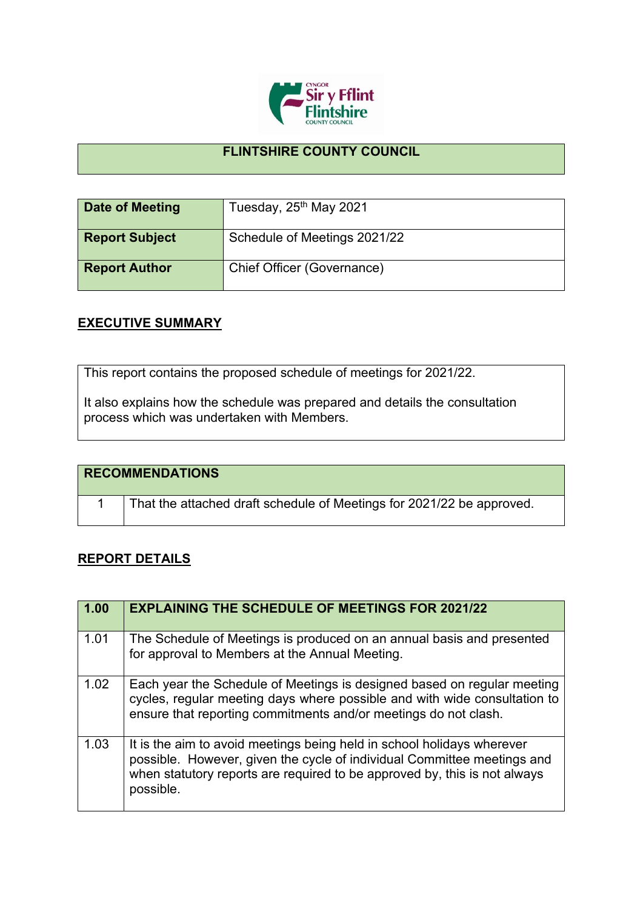

## **FLINTSHIRE COUNTY COUNCIL**

| Date of Meeting       | Tuesday, 25 <sup>th</sup> May 2021 |
|-----------------------|------------------------------------|
| <b>Report Subject</b> | Schedule of Meetings 2021/22       |
| <b>Report Author</b>  | Chief Officer (Governance)         |

## **EXECUTIVE SUMMARY**

This report contains the proposed schedule of meetings for 2021/22.

It also explains how the schedule was prepared and details the consultation process which was undertaken with Members.

| <b>RECOMMENDATIONS</b>                                                |
|-----------------------------------------------------------------------|
| That the attached draft schedule of Meetings for 2021/22 be approved. |

## **REPORT DETAILS**

| 1.00 | <b>EXPLAINING THE SCHEDULE OF MEETINGS FOR 2021/22</b>                                                                                                                                                                                      |
|------|---------------------------------------------------------------------------------------------------------------------------------------------------------------------------------------------------------------------------------------------|
| 1.01 | The Schedule of Meetings is produced on an annual basis and presented<br>for approval to Members at the Annual Meeting.                                                                                                                     |
| 1.02 | Each year the Schedule of Meetings is designed based on regular meeting<br>cycles, regular meeting days where possible and with wide consultation to<br>ensure that reporting commitments and/or meetings do not clash.                     |
| 1.03 | It is the aim to avoid meetings being held in school holidays wherever<br>possible. However, given the cycle of individual Committee meetings and<br>when statutory reports are required to be approved by, this is not always<br>possible. |